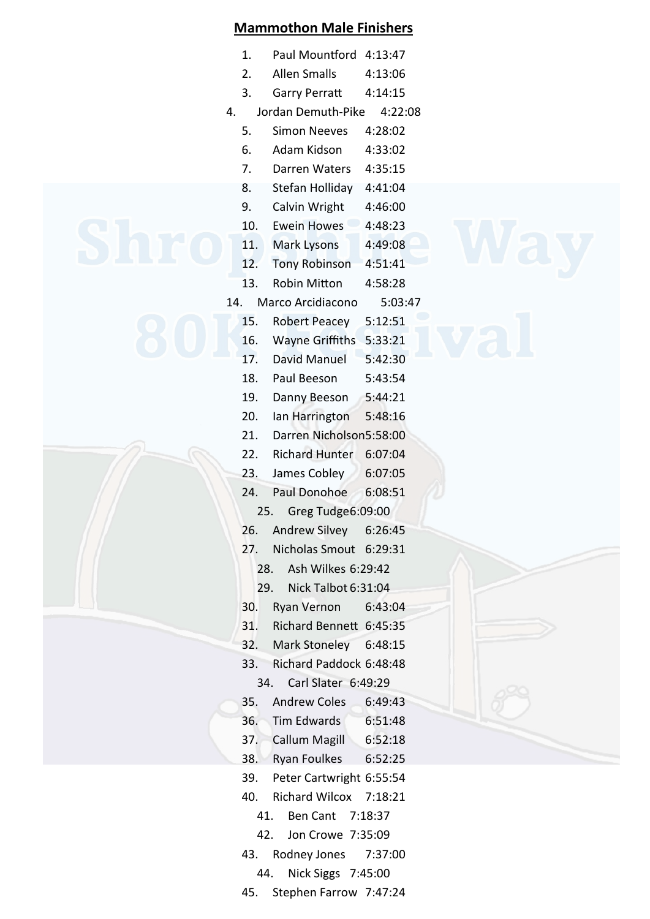|     |     | <b>Mammothon Male Finishers</b> |         |  |
|-----|-----|---------------------------------|---------|--|
|     | 1.  | Paul Mountford 4:13:47          |         |  |
|     | 2.  | <b>Allen Smalls</b>             | 4:13:06 |  |
|     | 3.  | <b>Garry Perratt</b>            | 4:14:15 |  |
| 4.  |     | Jordan Demuth-Pike              | 4:22:08 |  |
|     | 5.  | <b>Simon Neeves</b>             | 4:28:02 |  |
|     | 6.  | Adam Kidson                     | 4:33:02 |  |
|     | 7.  | Darren Waters                   | 4:35:15 |  |
|     | 8.  | Stefan Holliday                 | 4:41:04 |  |
|     | 9.  | Calvin Wright                   | 4:46:00 |  |
|     | 10. | <b>Ewein Howes</b>              | 4:48:23 |  |
|     | 11. | Mark Lysons                     | 4:49:08 |  |
|     | 12. | <b>Tony Robinson</b>            | 4:51:41 |  |
|     | 13. | <b>Robin Mitton</b>             | 4:58:28 |  |
| 14. |     | Marco Arcidiacono               | 5:03:47 |  |
|     | 15. | <b>Robert Peacey</b>            | 5:12:51 |  |
|     | 16. | <b>Wayne Griffiths</b>          | 5:33:21 |  |
|     | 17. | <b>David Manuel</b>             | 5:42:30 |  |
|     | 18. | Paul Beeson                     | 5:43:54 |  |
|     | 19. | Danny Beeson                    | 5:44:21 |  |
|     | 20. | lan Harrington                  | 5:48:16 |  |
|     | 21. | Darren Nicholson5:58:00         |         |  |
|     | 22. | <b>Richard Hunter</b>           | 6:07:04 |  |
|     | 23. | James Cobley                    | 6:07:05 |  |
|     | 24. | <b>Paul Donohoe</b>             | 6:08:51 |  |
|     | 25. | Greg Tudge6:09:00               |         |  |
|     | 26. | Andrew Silvey                   | 6:26:45 |  |
|     | 27. | Nicholas Smout 6:29:31          |         |  |
|     | 28. | Ash Wilkes 6:29:42              |         |  |
|     | 29. | Nick Talbot 6:31:04             |         |  |
|     | 30. | Ryan Vernon                     | 6:43:04 |  |
|     | 31. | Richard Bennett 6:45:35         |         |  |
|     | 32. | Mark Stoneley 6:48:15           |         |  |
|     | 33. | Richard Paddock 6:48:48         |         |  |
|     | 34. | Carl Slater 6:49:29             |         |  |
|     | 35. | <b>Andrew Coles</b>             | 6:49:43 |  |
|     | 36. | Tim Edwards                     | 6:51:48 |  |
|     | 37. | Callum Magill 6:52:18           |         |  |
|     | 38. | Ryan Foulkes                    | 6:52:25 |  |
|     | 39. | Peter Cartwright 6:55:54        |         |  |
|     | 40. | Richard Wilcox 7:18:21          |         |  |
|     | 41. | Ben Cant 7:18:37                |         |  |

- 42. Jon Crowe 7:35:09
- 43. Rodney Jones 7:37:00
	- 44. Nick Siggs 7:45:00
- 45. Stephen Farrow 7:47:24